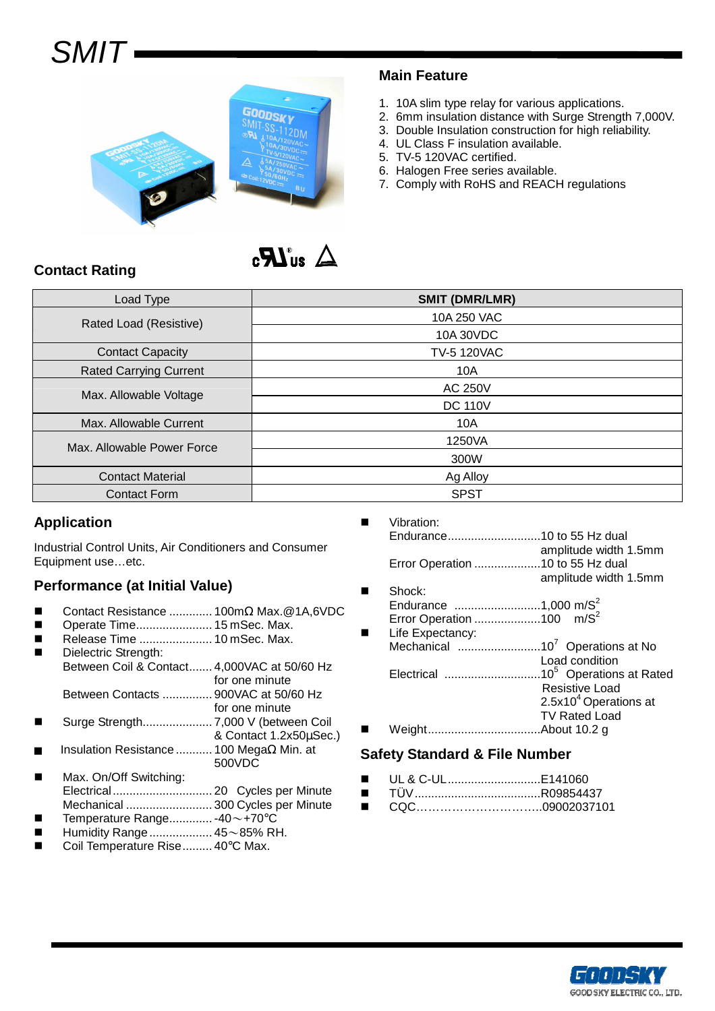# **SMIT**



#### **Main Feature**

- 1. 10A slim type relay for various applications.
- 2. 6mm insulation distance with Surge Strength 7,000V.
- 3. Double Insulation construction for high reliability.
- 4. UL Class F insulation available.
- 5. TV-5 120VAC certified.
- 6. Halogen Free series available.
- 7. Comply with RoHS and REACH regulations

## $\Delta$  and  $\mathbb{Z}$ .

## **Contact Rating**

| Load Type                     | <b>SMIT (DMR/LMR)</b> |  |  |
|-------------------------------|-----------------------|--|--|
| Rated Load (Resistive)        | 10A 250 VAC           |  |  |
|                               | 10A 30VDC             |  |  |
| <b>Contact Capacity</b>       | <b>TV-5 120VAC</b>    |  |  |
| <b>Rated Carrying Current</b> | 10A                   |  |  |
| Max. Allowable Voltage        | <b>AC 250V</b>        |  |  |
|                               | <b>DC 110V</b>        |  |  |
| Max. Allowable Current        | 10A                   |  |  |
| Max. Allowable Power Force    | 1250VA                |  |  |
|                               | 300W                  |  |  |
| <b>Contact Material</b>       | Ag Alloy              |  |  |
| <b>Contact Form</b>           | <b>SPST</b>           |  |  |

#### **Application**

Industrial Control Units, Air Conditioners and Consumer Equipment use…etc.

#### **Performance (at Initial Value)**

- Contact Resistance ............. 100mΩ Max.@1A,6VDC
- Operate Time....................... 15 mSec. Max.
- Release Time .......................... 10 mSec. Max.
- Dielectric Strength: Between Coil & Contact....... 4,000VAC at 50/60 Hz for one minute Between Contacts ............... 900VAC at 50/60 Hz
- for one minute Surge Strength..................... 7,000 V (between Coil
- & Contact 1.2x50µSec.)
- Insulation Resistance ........... 100 MegaΩ Min. at 500VDC
- Max. On/Off Switching: Electrical.............................. 20 Cycles per Minute Mechanical .......................... 300 Cycles per Minute
- Temperature Range............. -40~+70°C Humidity Range................... 45~85% RH.
- 
- Coil Temperature Rise......... 40°C Max.
- **Name System** Vibration: Endurance............................10 to 55 Hz dual amplitude width 1.5mm Error Operation ....................10 to 55 Hz dual amplitude width 1.5mm Shock:
- Endurance ..........................1,000 m/S<sup>2</sup> Error Operation ....................100 m/S<sup>2</sup>
- Life Expectancy: Mechanical ...............................10<sup>7</sup> Operations at No Load condition Electrical .............................10<sup>5</sup>Operations at Rated Resistive Load  $2.5x10<sup>4</sup>$  Operations at TV Rated Load Weight..................................About 10.2 g

#### **Safety Standard & File Number**

- UL & C-UL............................E141060
- TÜV...................................R09854437
- CQC…………………………09002037101